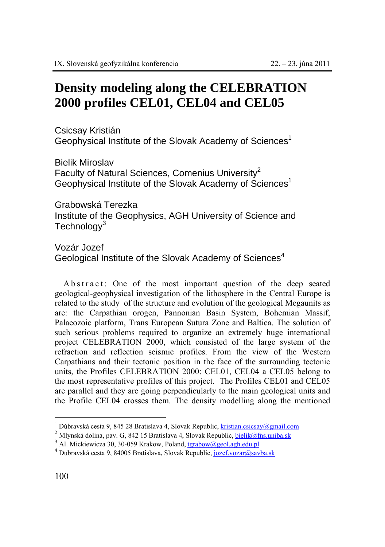## **Density modeling along the CELEBRATION 2000 profiles CEL01, CEL04 and CEL05**

Csicsay Kristián Geophysical Institute of the Slovak Academy of Sciences<sup>1</sup>

Bielik Miroslav Faculty of Natural Sciences, Comenius University $2$ Geophysical Institute of the Slovak Academy of Sciences<sup>1</sup>

Grabowská Terezka Institute of the Geophysics, AGH University of Science and Technology<sup>3</sup>

## Vozár Jozef

Geological Institute of the Slovak Academy of Sciences<sup>4</sup>

A b s t r a c t : One of the most important question of the deep seated geological-geophysical investigation of the lithosphere in the Central Europe is related to the study of the structure and evolution of the geological Megaunits as are: the Carpathian orogen, Pannonian Basin System, Bohemian Massif, Palaeozoic platform, Trans European Sutura Zone and Baltica. The solution of such serious problems required to organize an extremely huge international project CELEBRATION 2000, which consisted of the large system of the refraction and reflection seismic profiles. From the view of the Western Carpathians and their tectonic position in the face of the surrounding tectonic units, the Profiles CELEBRATION 2000: CEL01, CEL04 a CEL05 belong to the most representative profiles of this project. The Profiles CEL01 and CEL05 are parallel and they are going perpendicularly to the main geological units and the Profile CEL04 crosses them. The density modelling along the mentioned

 $\overline{a}$ 

<sup>&</sup>lt;sup>1</sup> Dúbravská cesta 9, 845 28 Bratislava 4, Slovak Republic, kristian.csicsay@gmail.com

<sup>&</sup>lt;sup>2</sup> Mlynská dolina, pav. G, 842 15 Bratislava 4, Slovak Republic, <u>bielik@fns.uniba.sk</u>  $^3$  Al. Mickiewicza 30, 30-059 Krakow, Poland, tgrabow@geol.agh.edu.pl

<sup>&</sup>lt;sup>4</sup> Dubravská cesta 9, 84005 Bratislava, Slovak Republic, jozef.vozar@savba.sk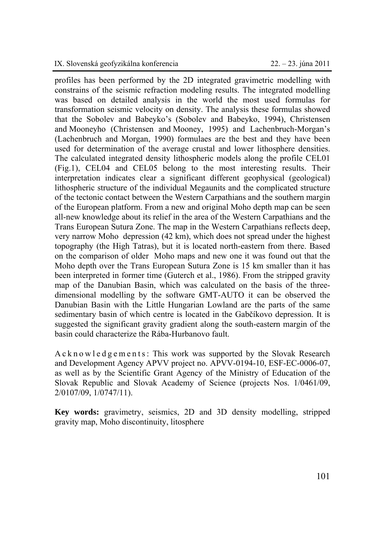profiles has been performed by the 2D integrated gravimetric modelling with constrains of the seismic refraction modeling results. The integrated modelling was based on detailed analysis in the world the most used formulas for transformation seismic velocity on density. The analysis these formulas showed that the Sobolev and Babeyko's (Sobolev and Babeyko, 1994), Christensen and Mooneyho (Christensen and Mooney, 1995) and Lachenbruch-Morgan's (Lachenbruch and Morgan, 1990) formulaes are the best and they have been used for determination of the average crustal and lower lithosphere densities. The calculated integrated density lithospheric models along the profile CEL01 (Fig.1), CEL04 and CEL05 belong to the most interesting results. Their interpretation indicates clear a significant different geophysical (geological) lithospheric structure of the individual Megaunits and the complicated structure of the tectonic contact between the Western Carpathians and the southern margin of the European platform. From a new and original Moho depth map can be seen all-new knowledge about its relief in the area of the Western Carpathians and the Trans European Sutura Zone. The map in the Western Carpathians reflects deep, very narrow Moho depression (42 km), which does not spread under the highest topography (the High Tatras), but it is located north-eastern from there. Based on the comparison of older Moho maps and new one it was found out that the Moho depth over the Trans European Sutura Zone is 15 km smaller than it has been interpreted in former time (Guterch et al., 1986). From the stripped gravity map of the Danubian Basin, which was calculated on the basis of the threedimensional modelling by the software GMT-AUTO it can be observed the Danubian Basin with the Little Hungarian Lowland are the parts of the same sedimentary basin of which centre is located in the Gabčíkovo depression. It is suggested the significant gravity gradient along the south-eastern margin of the basin could characterize the Rába-Hurbanovo fault.

A c k n o w l e d g e m e n t s : This work was supported by the Slovak Research and Development Agency APVV project no. APVV-0194-10, ESF-EC-0006-07, as well as by the Scientific Grant Agency of the Ministry of Education of the Slovak Republic and Slovak Academy of Science (projects Nos. 1/0461/09, 2/0107/09, 1/0747/11).

**Key words:** gravimetry, seismics, 2D and 3D density modelling, stripped gravity map, Moho discontinuity, litosphere